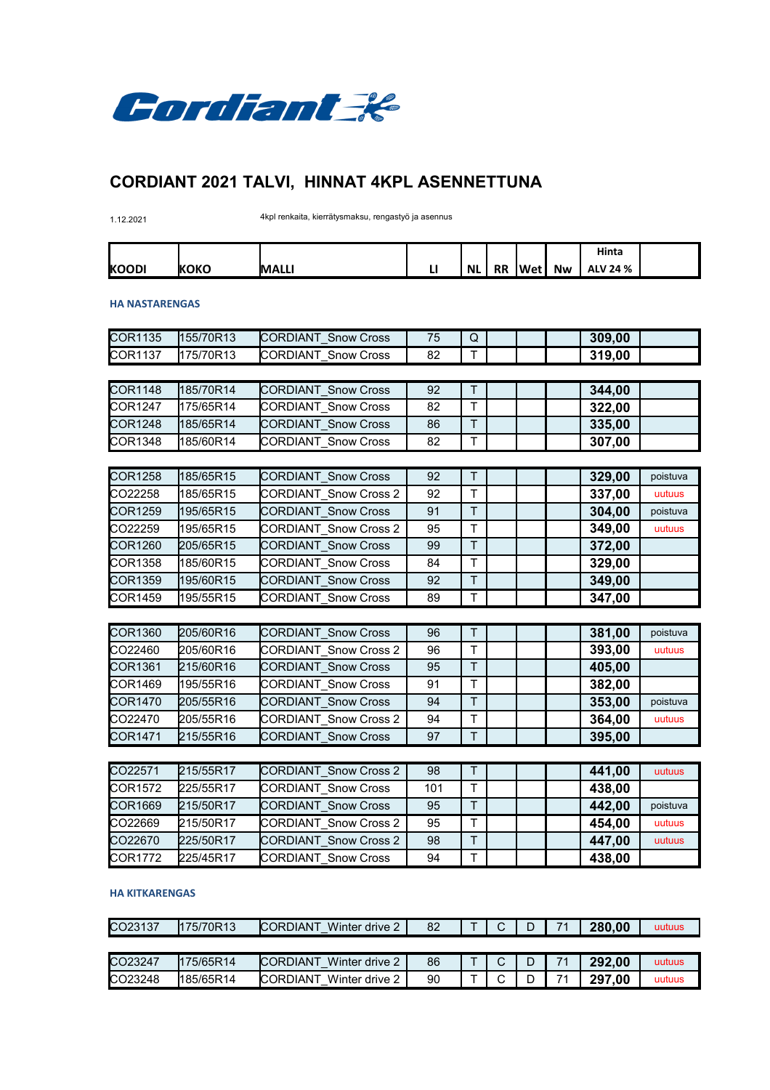

# **CORDIANT 2021 TALVI, HINNAT 4KPL ASENNETTUNA**

1.12.2021 4kpl renkaita, kierrätysmaksu, rengastyö ja asennus

|               |              |              |     |           |           |      |           | Hinta           |  |
|---------------|--------------|--------------|-----|-----------|-----------|------|-----------|-----------------|--|
| <b>IKOODI</b> | <b>IKOKO</b> | <b>MALLI</b> | . . | <b>NL</b> | <b>RR</b> | 'Wet | <b>Nw</b> | <b>ALV 24 %</b> |  |

### **HA NASTARENGAS**

| 155/70R13<br><b>CORDIANT Snow Cross</b><br>309,00<br>75<br>Q<br>T<br>175/70R13<br><b>CORDIANT Snow Cross</b><br>82<br>319,00<br>185/70R14<br><b>CORDIANT Snow Cross</b><br>T<br>344,00<br>92<br>T<br><b>CORDIANT Snow Cross</b><br>175/65R14<br>82<br>322,00<br><b>CORDIANT Snow Cross</b><br>T<br>86<br>185/65R14<br>335,00<br>$\mathsf T$<br>185/60R14<br><b>CORDIANT Snow Cross</b><br>82<br>307,00<br>$\overline{\mathsf{T}}$<br>185/65R15<br><b>CORDIANT Snow Cross</b><br>92<br>329,00<br>poistuva<br>T<br><b>CORDIANT Snow Cross 2</b><br>92<br>185/65R15<br>337,00<br>uutuus<br>T<br><b>CORDIANT Snow Cross</b><br>91<br>304,00<br>195/65R15<br>poistuva<br><b>CORDIANT Snow Cross 2</b><br>95<br>T<br>195/65R15<br>349,00<br>uutuus<br>T<br><b>CORDIANT Snow Cross</b><br>99<br>205/65R15<br>372,00<br>$\mathsf{T}$<br><b>CORDIANT Snow Cross</b><br>185/60R15<br>84<br>329,00<br>T<br><b>CORDIANT Snow Cross</b><br>92<br>349,00<br>195/60R15<br>195/55R15<br><b>CORDIANT Snow Cross</b><br>89<br>T<br>347,00<br>205/60R16<br>$\top$<br>381,00<br><b>CORDIANT Snow Cross</b><br>96<br>poistuva<br><b>CORDIANT Snow Cross 2</b><br>96<br>T<br>205/60R16<br>393,00<br>uutuus<br>T<br><b>CORDIANT Snow Cross</b><br>95<br>215/60R16<br>405,00<br>$\overline{1}$<br><b>CORDIANT Snow Cross</b><br>195/55R16<br>91<br>382,00<br><b>CORDIANT Snow Cross</b><br>T.<br>94<br>353,00<br>205/55R16<br>poistuva<br><b>CORDIANT Snow Cross 2</b><br>T<br>94<br>205/55R16<br>364,00<br>uutuus<br>T<br>215/55R16<br><b>CORDIANT Snow Cross</b><br>97<br>395,00<br>$\top$<br>215/55R17<br><b>CORDIANT Snow Cross 2</b><br>98<br>441,00<br>uutuus<br>T<br><b>CORDIANT Snow Cross</b><br>225/55R17<br>101<br>438,00<br><b>CORDIANT Snow Cross</b><br>95<br>T.<br>442,00<br>215/50R17<br>poistuva<br><b>CORDIANT Snow Cross 2</b><br>T<br>95<br>454,00<br>215/50R17<br>uutuus<br>$\top$<br><b>CORDIANT Snow Cross 2</b><br>225/50R17<br>98<br>447,00<br>uutuus<br>225/45R17<br><b>CORDIANT Snow Cross</b><br>T.<br>94 |                |  |  |  |        |  |
|---------------------------------------------------------------------------------------------------------------------------------------------------------------------------------------------------------------------------------------------------------------------------------------------------------------------------------------------------------------------------------------------------------------------------------------------------------------------------------------------------------------------------------------------------------------------------------------------------------------------------------------------------------------------------------------------------------------------------------------------------------------------------------------------------------------------------------------------------------------------------------------------------------------------------------------------------------------------------------------------------------------------------------------------------------------------------------------------------------------------------------------------------------------------------------------------------------------------------------------------------------------------------------------------------------------------------------------------------------------------------------------------------------------------------------------------------------------------------------------------------------------------------------------------------------------------------------------------------------------------------------------------------------------------------------------------------------------------------------------------------------------------------------------------------------------------------------------------------------------------------------------------------------------------------------------------------------------------------------------------------------------|----------------|--|--|--|--------|--|
|                                                                                                                                                                                                                                                                                                                                                                                                                                                                                                                                                                                                                                                                                                                                                                                                                                                                                                                                                                                                                                                                                                                                                                                                                                                                                                                                                                                                                                                                                                                                                                                                                                                                                                                                                                                                                                                                                                                                                                                                               | <b>COR1135</b> |  |  |  |        |  |
|                                                                                                                                                                                                                                                                                                                                                                                                                                                                                                                                                                                                                                                                                                                                                                                                                                                                                                                                                                                                                                                                                                                                                                                                                                                                                                                                                                                                                                                                                                                                                                                                                                                                                                                                                                                                                                                                                                                                                                                                               | COR1137        |  |  |  |        |  |
|                                                                                                                                                                                                                                                                                                                                                                                                                                                                                                                                                                                                                                                                                                                                                                                                                                                                                                                                                                                                                                                                                                                                                                                                                                                                                                                                                                                                                                                                                                                                                                                                                                                                                                                                                                                                                                                                                                                                                                                                               |                |  |  |  |        |  |
|                                                                                                                                                                                                                                                                                                                                                                                                                                                                                                                                                                                                                                                                                                                                                                                                                                                                                                                                                                                                                                                                                                                                                                                                                                                                                                                                                                                                                                                                                                                                                                                                                                                                                                                                                                                                                                                                                                                                                                                                               | <b>COR1148</b> |  |  |  |        |  |
|                                                                                                                                                                                                                                                                                                                                                                                                                                                                                                                                                                                                                                                                                                                                                                                                                                                                                                                                                                                                                                                                                                                                                                                                                                                                                                                                                                                                                                                                                                                                                                                                                                                                                                                                                                                                                                                                                                                                                                                                               | COR1247        |  |  |  |        |  |
|                                                                                                                                                                                                                                                                                                                                                                                                                                                                                                                                                                                                                                                                                                                                                                                                                                                                                                                                                                                                                                                                                                                                                                                                                                                                                                                                                                                                                                                                                                                                                                                                                                                                                                                                                                                                                                                                                                                                                                                                               | <b>COR1248</b> |  |  |  |        |  |
|                                                                                                                                                                                                                                                                                                                                                                                                                                                                                                                                                                                                                                                                                                                                                                                                                                                                                                                                                                                                                                                                                                                                                                                                                                                                                                                                                                                                                                                                                                                                                                                                                                                                                                                                                                                                                                                                                                                                                                                                               | COR1348        |  |  |  |        |  |
|                                                                                                                                                                                                                                                                                                                                                                                                                                                                                                                                                                                                                                                                                                                                                                                                                                                                                                                                                                                                                                                                                                                                                                                                                                                                                                                                                                                                                                                                                                                                                                                                                                                                                                                                                                                                                                                                                                                                                                                                               |                |  |  |  |        |  |
|                                                                                                                                                                                                                                                                                                                                                                                                                                                                                                                                                                                                                                                                                                                                                                                                                                                                                                                                                                                                                                                                                                                                                                                                                                                                                                                                                                                                                                                                                                                                                                                                                                                                                                                                                                                                                                                                                                                                                                                                               | <b>COR1258</b> |  |  |  |        |  |
|                                                                                                                                                                                                                                                                                                                                                                                                                                                                                                                                                                                                                                                                                                                                                                                                                                                                                                                                                                                                                                                                                                                                                                                                                                                                                                                                                                                                                                                                                                                                                                                                                                                                                                                                                                                                                                                                                                                                                                                                               | CO22258        |  |  |  |        |  |
|                                                                                                                                                                                                                                                                                                                                                                                                                                                                                                                                                                                                                                                                                                                                                                                                                                                                                                                                                                                                                                                                                                                                                                                                                                                                                                                                                                                                                                                                                                                                                                                                                                                                                                                                                                                                                                                                                                                                                                                                               | <b>COR1259</b> |  |  |  |        |  |
|                                                                                                                                                                                                                                                                                                                                                                                                                                                                                                                                                                                                                                                                                                                                                                                                                                                                                                                                                                                                                                                                                                                                                                                                                                                                                                                                                                                                                                                                                                                                                                                                                                                                                                                                                                                                                                                                                                                                                                                                               | CO22259        |  |  |  |        |  |
|                                                                                                                                                                                                                                                                                                                                                                                                                                                                                                                                                                                                                                                                                                                                                                                                                                                                                                                                                                                                                                                                                                                                                                                                                                                                                                                                                                                                                                                                                                                                                                                                                                                                                                                                                                                                                                                                                                                                                                                                               | COR1260        |  |  |  |        |  |
|                                                                                                                                                                                                                                                                                                                                                                                                                                                                                                                                                                                                                                                                                                                                                                                                                                                                                                                                                                                                                                                                                                                                                                                                                                                                                                                                                                                                                                                                                                                                                                                                                                                                                                                                                                                                                                                                                                                                                                                                               | COR1358        |  |  |  |        |  |
|                                                                                                                                                                                                                                                                                                                                                                                                                                                                                                                                                                                                                                                                                                                                                                                                                                                                                                                                                                                                                                                                                                                                                                                                                                                                                                                                                                                                                                                                                                                                                                                                                                                                                                                                                                                                                                                                                                                                                                                                               | <b>COR1359</b> |  |  |  |        |  |
|                                                                                                                                                                                                                                                                                                                                                                                                                                                                                                                                                                                                                                                                                                                                                                                                                                                                                                                                                                                                                                                                                                                                                                                                                                                                                                                                                                                                                                                                                                                                                                                                                                                                                                                                                                                                                                                                                                                                                                                                               | COR1459        |  |  |  |        |  |
|                                                                                                                                                                                                                                                                                                                                                                                                                                                                                                                                                                                                                                                                                                                                                                                                                                                                                                                                                                                                                                                                                                                                                                                                                                                                                                                                                                                                                                                                                                                                                                                                                                                                                                                                                                                                                                                                                                                                                                                                               |                |  |  |  |        |  |
|                                                                                                                                                                                                                                                                                                                                                                                                                                                                                                                                                                                                                                                                                                                                                                                                                                                                                                                                                                                                                                                                                                                                                                                                                                                                                                                                                                                                                                                                                                                                                                                                                                                                                                                                                                                                                                                                                                                                                                                                               | <b>COR1360</b> |  |  |  |        |  |
|                                                                                                                                                                                                                                                                                                                                                                                                                                                                                                                                                                                                                                                                                                                                                                                                                                                                                                                                                                                                                                                                                                                                                                                                                                                                                                                                                                                                                                                                                                                                                                                                                                                                                                                                                                                                                                                                                                                                                                                                               | CO22460        |  |  |  |        |  |
|                                                                                                                                                                                                                                                                                                                                                                                                                                                                                                                                                                                                                                                                                                                                                                                                                                                                                                                                                                                                                                                                                                                                                                                                                                                                                                                                                                                                                                                                                                                                                                                                                                                                                                                                                                                                                                                                                                                                                                                                               | COR1361        |  |  |  |        |  |
|                                                                                                                                                                                                                                                                                                                                                                                                                                                                                                                                                                                                                                                                                                                                                                                                                                                                                                                                                                                                                                                                                                                                                                                                                                                                                                                                                                                                                                                                                                                                                                                                                                                                                                                                                                                                                                                                                                                                                                                                               | COR1469        |  |  |  |        |  |
|                                                                                                                                                                                                                                                                                                                                                                                                                                                                                                                                                                                                                                                                                                                                                                                                                                                                                                                                                                                                                                                                                                                                                                                                                                                                                                                                                                                                                                                                                                                                                                                                                                                                                                                                                                                                                                                                                                                                                                                                               | <b>COR1470</b> |  |  |  |        |  |
|                                                                                                                                                                                                                                                                                                                                                                                                                                                                                                                                                                                                                                                                                                                                                                                                                                                                                                                                                                                                                                                                                                                                                                                                                                                                                                                                                                                                                                                                                                                                                                                                                                                                                                                                                                                                                                                                                                                                                                                                               | CO22470        |  |  |  |        |  |
|                                                                                                                                                                                                                                                                                                                                                                                                                                                                                                                                                                                                                                                                                                                                                                                                                                                                                                                                                                                                                                                                                                                                                                                                                                                                                                                                                                                                                                                                                                                                                                                                                                                                                                                                                                                                                                                                                                                                                                                                               | <b>COR1471</b> |  |  |  |        |  |
|                                                                                                                                                                                                                                                                                                                                                                                                                                                                                                                                                                                                                                                                                                                                                                                                                                                                                                                                                                                                                                                                                                                                                                                                                                                                                                                                                                                                                                                                                                                                                                                                                                                                                                                                                                                                                                                                                                                                                                                                               |                |  |  |  |        |  |
|                                                                                                                                                                                                                                                                                                                                                                                                                                                                                                                                                                                                                                                                                                                                                                                                                                                                                                                                                                                                                                                                                                                                                                                                                                                                                                                                                                                                                                                                                                                                                                                                                                                                                                                                                                                                                                                                                                                                                                                                               | CO22571        |  |  |  |        |  |
|                                                                                                                                                                                                                                                                                                                                                                                                                                                                                                                                                                                                                                                                                                                                                                                                                                                                                                                                                                                                                                                                                                                                                                                                                                                                                                                                                                                                                                                                                                                                                                                                                                                                                                                                                                                                                                                                                                                                                                                                               | COR1572        |  |  |  |        |  |
|                                                                                                                                                                                                                                                                                                                                                                                                                                                                                                                                                                                                                                                                                                                                                                                                                                                                                                                                                                                                                                                                                                                                                                                                                                                                                                                                                                                                                                                                                                                                                                                                                                                                                                                                                                                                                                                                                                                                                                                                               | <b>COR1669</b> |  |  |  |        |  |
|                                                                                                                                                                                                                                                                                                                                                                                                                                                                                                                                                                                                                                                                                                                                                                                                                                                                                                                                                                                                                                                                                                                                                                                                                                                                                                                                                                                                                                                                                                                                                                                                                                                                                                                                                                                                                                                                                                                                                                                                               | CO22669        |  |  |  |        |  |
|                                                                                                                                                                                                                                                                                                                                                                                                                                                                                                                                                                                                                                                                                                                                                                                                                                                                                                                                                                                                                                                                                                                                                                                                                                                                                                                                                                                                                                                                                                                                                                                                                                                                                                                                                                                                                                                                                                                                                                                                               | CO22670        |  |  |  |        |  |
|                                                                                                                                                                                                                                                                                                                                                                                                                                                                                                                                                                                                                                                                                                                                                                                                                                                                                                                                                                                                                                                                                                                                                                                                                                                                                                                                                                                                                                                                                                                                                                                                                                                                                                                                                                                                                                                                                                                                                                                                               | COR1772        |  |  |  | 438,00 |  |

#### **HA KITKARENGAS**

| CO23137 | l175/70R13 | <b>ICORDIANT Winter drive 2</b> | 82 |  |  | 280.00 | uutuus |
|---------|------------|---------------------------------|----|--|--|--------|--------|
|         |            |                                 |    |  |  |        |        |
| CO23247 | l175/65R14 | <b>ICORDIANT</b> Winter drive 2 | 86 |  |  | 292.00 | uutuus |
| CO23248 | I185/65R14 | <b>ICORDIANT</b> Winter drive 2 | 90 |  |  | 297,00 | uutuus |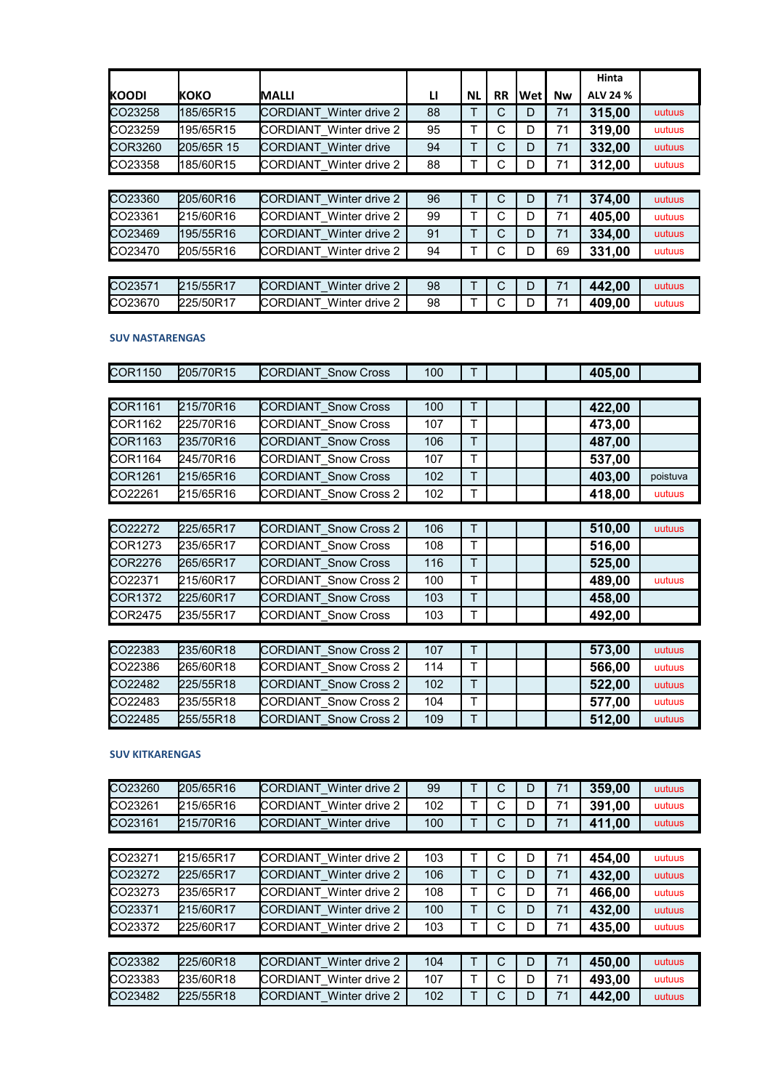|              |            |                                |    |           |           |     |    | Hinta    |        |
|--------------|------------|--------------------------------|----|-----------|-----------|-----|----|----------|--------|
| <b>KOODI</b> | Ικοκο      | <b>IMALLI</b>                  | u  | <b>NL</b> | <b>RR</b> | Wet | Nw | ALV 24 % |        |
| CO23258      | 185/65R15  | CORDIANT Winter drive 2        | 88 | Т         | С         | D   | 71 | 315,00   | uutuus |
| CO23259      | 195/65R15  | CORDIANT Winter drive 2        | 95 | T         | С         | D   | 71 | 319,00   | uutuus |
| COR3260      | 205/65R 15 | CORDIANT Winter drive          | 94 | T         | C         | D   | 71 | 332,00   | uutuus |
| CO23358      | 185/60R15  | CORDIANT Winter drive 2        | 88 | т         | С         | D   | 71 | 312,00   | uutuus |
|              |            |                                |    |           |           |     |    |          |        |
| CO23360      | 205/60R16  | <b>CORDIANT</b> Winter drive 2 | 96 | Т         | C         | D   | 71 | 374,00   | uutuus |
| CO23361      | 215/60R16  | CORDIANT Winter drive 2        | 99 | т         | С         | D   | 71 | 405,00   | uutuus |
| CO23469      | 195/55R16  | CORDIANT Winter drive 2        | 91 | T         | С         | D   | 71 | 334,00   | uutuus |
| CO23470      | 205/55R16  | CORDIANT Winter drive 2        | 94 | т         | С         | D   | 69 | 331,00   | uutuus |
|              |            |                                |    |           |           |     |    |          |        |
| CO23571      | 215/55R17  | CORDIANT Winter drive 2        | 98 | Т         | C         | D   | 71 | 442,00   | uutuus |
| CO23670      | 225/50R17  | CORDIANT Winter drive 2        | 98 | Т         | С         | D   | 71 | 409,00   | uutuus |

# **SUV NASTARENGAS**

| <b>COR1150</b> | 205/70R15 | CORDIANT Snow Cross   | 100 | т |  | 405,00 |          |
|----------------|-----------|-----------------------|-----|---|--|--------|----------|
|                |           |                       |     |   |  |        |          |
| <b>COR1161</b> | 215/70R16 | CORDIANT Snow Cross   | 100 | T |  | 422,00 |          |
| COR1162        | 225/70R16 | CORDIANT Snow Cross   | 107 | т |  | 473,00 |          |
| <b>COR1163</b> | 235/70R16 | CORDIANT Snow Cross   | 106 | T |  | 487,00 |          |
| <b>COR1164</b> | 245/70R16 | CORDIANT Snow Cross   | 107 | т |  | 537,00 |          |
| COR1261        | 215/65R16 | CORDIANT Snow Cross   | 102 | T |  | 403,00 | poistuva |
| CO22261        | 215/65R16 | CORDIANT Snow Cross 2 | 102 | т |  | 418,00 | uutuus   |
|                |           |                       |     |   |  |        |          |
| CO22272        | 225/65R17 | CORDIANT Snow Cross 2 | 106 | Т |  | 510,00 | uutuus   |
| COR1273        | 235/65R17 | CORDIANT Snow Cross   | 108 | т |  | 516,00 |          |
| COR2276        | 265/65R17 | CORDIANT Snow Cross   | 116 | T |  | 525,00 |          |
| CO22371        | 215/60R17 | CORDIANT Snow Cross 2 | 100 | т |  | 489,00 | uutuus   |
| <b>COR1372</b> | 225/60R17 | CORDIANT Snow Cross   | 103 | T |  | 458,00 |          |

| CO22383 | 235/60R18 | <b>ICORDIANT Snow Cross 2</b> | 107 | ÷ |  | 573,00 | uutuus |
|---------|-----------|-------------------------------|-----|---|--|--------|--------|
| CO22386 | 265/60R18 | <b>CORDIANT Snow Cross 2</b>  | 114 |   |  | 566,00 | uutuus |
| CO22482 | 225/55R18 | CORDIANT Snow Cross 2         | 102 | ᠇ |  | 522,00 | uutuus |
| CO22483 | 235/55R18 | <b>CORDIANT Snow Cross 2</b>  | 104 | - |  | 577,00 | uutuus |
| CO22485 | 255/55R18 | <b>CORDIANT Snow Cross 2</b>  | 109 | ÷ |  | 512,00 | uutuus |

COR2475 235/55R17 CORDIANT\_Snow Cross | 103 | T | | | | | **492,00** 

# **SUV KITKARENGAS**

| CO23260 | 205/65R16 | <b>CORDIANT</b> Winter drive 2 | 99  |   | С | D | 71 | 359,00 | uutuus |
|---------|-----------|--------------------------------|-----|---|---|---|----|--------|--------|
| CO23261 | 215/65R16 | CORDIANT Winter drive 2        | 102 | Т | С | D | 71 | 391,00 | uutuus |
| CO23161 | 215/70R16 | CORDIANT Winter drive          | 100 | T | С | D | 71 | 411,00 | uutuus |
|         |           |                                |     |   |   |   |    |        |        |
| CO23271 | 215/65R17 | CORDIANT Winter drive 2        | 103 |   | C | D | 71 | 454,00 | uutuus |
| CO23272 | 225/65R17 | CORDIANT Winter drive 2        | 106 | T | С | D | 71 | 432,00 | uutuus |
| CO23273 | 235/65R17 | <b>CORDIANT</b> Winter drive 2 | 108 | Т | С | D | 71 | 466,00 | uutuus |
| CO23371 | 215/60R17 | CORDIANT Winter drive 2        | 100 | Т | C | D | 71 | 432,00 | uutuus |
| CO23372 | 225/60R17 | CORDIANT Winter drive 2        | 103 | т | C | D | 71 | 435,00 | uutuus |
|         |           |                                |     |   |   |   |    |        |        |
| CO23382 | 225/60R18 | CORDIANT Winter drive 2        | 104 | Т | C | D | 71 | 450,00 | uutuus |
| CO23383 | 235/60R18 | <b>CORDIANT</b> Winter drive 2 | 107 | Т | C | D | 71 | 493,00 | uutuus |
| CO23482 | 225/55R18 | <b>CORDIANT</b> Winter drive 2 | 102 | Τ | C | D | 71 | 442,00 | uutuus |